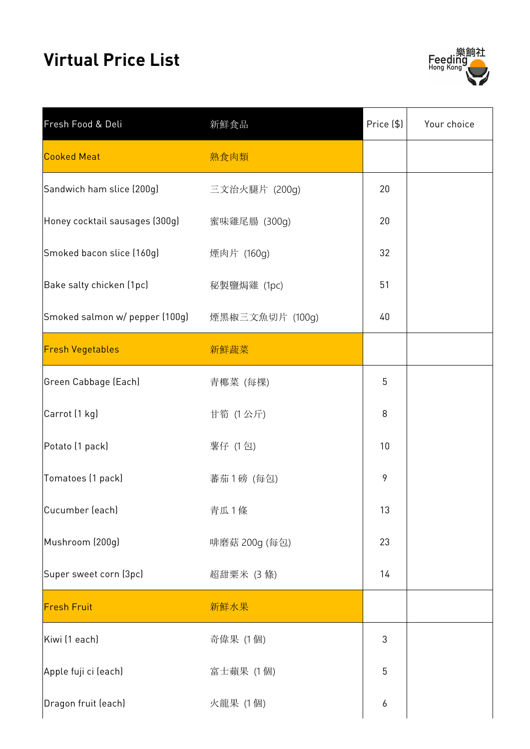## **Virtual Price List**



| Fresh Food & Deli              | 新鮮食品            | Price (\$) | Your choice |
|--------------------------------|-----------------|------------|-------------|
| <b>Cooked Meat</b>             | 熟食肉類            |            |             |
| Sandwich ham slice (200g)      | 三文治火腿片 (200g)   | 20         |             |
| Honey cocktail sausages (300g) | 蜜味雞尾腸 (300g)    | 20         |             |
| Smoked bacon slice (160g)      | 煙肉片 (160g)      | 32         |             |
| Bake salty chicken (1pc)       | 秘製鹽焗雞 (1pc)     | 51         |             |
| Smoked salmon w/ pepper (100g) | 煙黑椒三文魚切片 (100g) | 40         |             |
| <b>Fresh Vegetables</b>        | 新鮮蔬菜            |            |             |
| Green Cabbage (Each)           | 青椰菜 (每棵)        | 5          |             |
| Carrot (1 kg)                  | 甘筍 (1公斤)        | 8          |             |
| Potato (1 pack)                | 薯仔 (1包)         | 10         |             |
| Tomatoes (1 pack)              | 蕃茄1磅 (每包)       | 9          |             |
| Cucumber (each)                | 青瓜1條            | 13         |             |
| Mushroom (200g)                | 啡磨菇 200g (每包)   | 23         |             |
| Super sweet corn (3pc)         | 超甜粟米 (3條)       | 14         |             |
| <b>Fresh Fruit</b>             | 新鮮水果            |            |             |
| Kiwi (1 each)                  | 奇偉果 (1個)        | 3          |             |
| Apple fuji ci (each)           | 富士蘋果 (1個)       | 5          |             |
| Dragon fruit (each)            | 火龍果 (1個)        | 6          |             |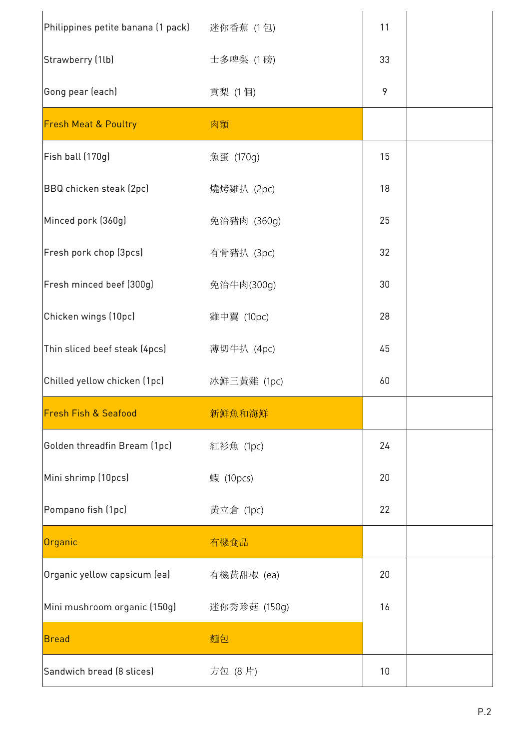| Philippines petite banana (1 pack)       迷你香蕉  (1 包)<br>Strawberry (1lb) | 士多啤梨 (1磅)    | 11 |  |
|--------------------------------------------------------------------------|--------------|----|--|
|                                                                          |              |    |  |
|                                                                          |              | 33 |  |
| Gong pear (each)                                                         | 貢梨 (1個)      | 9  |  |
| <b>Fresh Meat &amp; Poultry</b>                                          | 肉類           |    |  |
| Fish ball (170g)                                                         | 魚蛋 (170g)    | 15 |  |
| BBQ chicken steak (2pc)                                                  | 燒烤雞扒 (2pc)   | 18 |  |
| Minced pork (360g)                                                       | 免治豬肉 (360g)  | 25 |  |
| Fresh pork chop (3pcs)                                                   | 有骨豬扒 (3pc)   | 32 |  |
| Fresh minced beef (300g)                                                 | 免治牛肉(300g)   | 30 |  |
| Chicken wings (10pc)                                                     | 雞中翼 (10pc)   | 28 |  |
| Thin sliced beef steak (4pcs)                                            | 薄切牛扒 (4pc)   | 45 |  |
| Chilled yellow chicken (1pc)                                             | 冰鮮三黃雞 (1pc)  | 60 |  |
| <b>Fresh Fish &amp; Seafood</b>                                          | 新鮮魚和海鮮       |    |  |
| Golden threadfin Bream (1pc)                                             | 紅衫魚 (1pc)    | 24 |  |
| Mini shrimp (10pcs)                                                      | 蝦 (10pcs)    | 20 |  |
| Pompano fish (1pc)                                                       | 黃立倉 (1pc)    | 22 |  |
| Organic                                                                  | 有機食品         |    |  |
| Organic yellow capsicum (ea)                                             | 有機黃甜椒 (ea)   | 20 |  |
| Mini mushroom organic (150g)                                             | 迷你秀珍菇 (150g) | 16 |  |
| <b>Bread</b>                                                             | 麵包           |    |  |
| Sandwich bread (8 slices)                                                | 方包 (8片)      | 10 |  |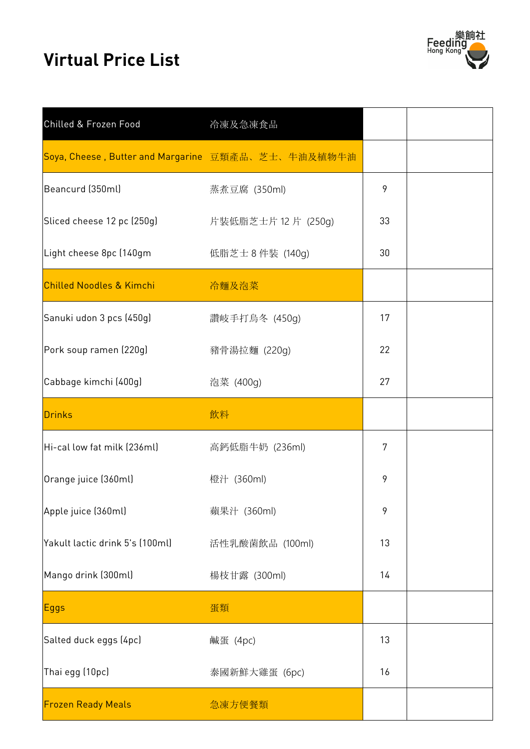## **Virtual Price List**



| Chilled & Frozen Food                               | 冷凍及急凍食品          |    |  |
|-----------------------------------------------------|------------------|----|--|
| Soya, Cheese, Butter and Margarine 豆類產品、芝士、牛油及植物牛油  |                  |    |  |
| Beancurd (350ml)                                    | 蒸煮豆腐 (350ml)     | 9  |  |
| Sliced cheese 12 pc (250g)      片裝低脂芝士片 12 片 (250g) |                  | 33 |  |
| Light cheese 8pc (140gm                             | 低脂芝士 8 件裝 (140g) | 30 |  |
| <b>Chilled Noodles &amp; Kimchi</b>                 | 冷麵及泡菜            |    |  |
| Sanuki udon 3 pcs (450g)                            | 讚岐手打烏冬 (450g)    | 17 |  |
| Pork soup ramen (220g)                              | 豬骨湯拉麵 (220g)     | 22 |  |
| Cabbage kimchi (400g)                               | 泡菜 (400g)        | 27 |  |
| <b>Drinks</b>                                       | 飲料               |    |  |
| Hi-cal low fat milk (236ml)                         | 高鈣低脂牛奶 (236ml)   | 7  |  |
| Orange juice (360ml)                                | 橙汁 (360ml)       | 9  |  |
| Apple juice (360ml)                                 | 蘋果汁 (360ml)      | 9  |  |
| Yakult lactic drink 5's (100ml)                     | 活性乳酸菌飲品 (100ml)  | 13 |  |
| Mango drink (300ml)                                 | 楊枝甘露 (300ml)     | 14 |  |
| <b>Eggs</b>                                         | 蛋類               |    |  |
| Salted duck eggs (4pc)                              | 鹹蛋 (4pc)         | 13 |  |
| Thai egg (10pc)                                     | 泰國新鮮大雞蛋 (6pc)    | 16 |  |
| <b>Frozen Ready Meals</b>                           | 急凍方便餐類           |    |  |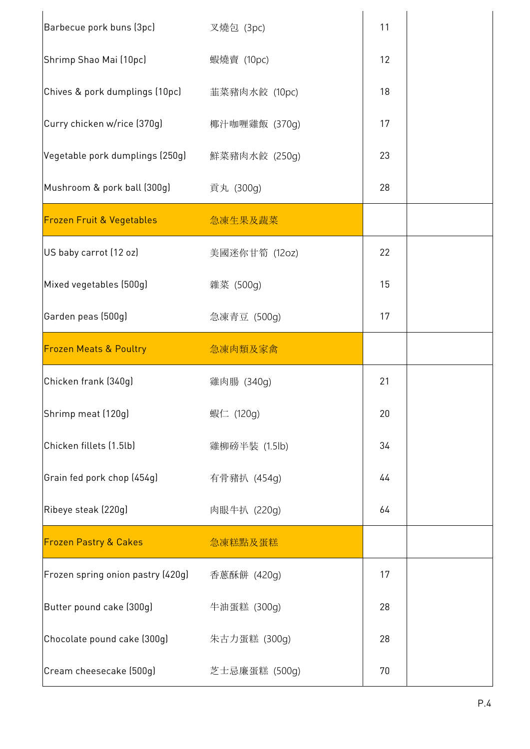| Barbecue pork buns (3pc)<br>Shrimp Shao Mai (10pc) | 叉燒包 (3pc)         | 11 |  |
|----------------------------------------------------|-------------------|----|--|
|                                                    |                   |    |  |
|                                                    | 蝦燒賣 (10pc)        | 12 |  |
| Chives & pork dumplings (10pc)                     | 韮菜豬肉水餃 (10pc)     | 18 |  |
| Curry chicken w/rice (370g)                        | 椰汁咖喱雞飯 (370g)     | 17 |  |
| Vegetable pork dumplings (250g)                    | 鮮菜豬肉水餃 (250g)     | 23 |  |
| Mushroom & pork ball (300g)                        | 貢丸 (300g)         | 28 |  |
| <b>Frozen Fruit &amp; Vegetables</b>               | <b>1. 高速生果及蔬菜</b> |    |  |
| US baby carrot (12 oz)                             | 美國迷你甘筍 (12oz)     | 22 |  |
| Mixed vegetables (500g)                            | 雜菜 (500g)         | 15 |  |
| Garden peas (500g)                                 | 急凍青豆 (500g)       | 17 |  |
| <b>Frozen Meats &amp; Poultry</b>                  | 急凍肉類及家禽           |    |  |
| Chicken frank (340g)                               | 雞肉腸 (340g)        | 21 |  |
| Shrimp meat (120g)                                 | 蝦仁 (120g)         | 20 |  |
|                                                    |                   |    |  |
| Chicken fillets (1.5lb)                            | 雞柳磅半裝 (1.5lb)     | 34 |  |
| Grain fed pork chop (454g)                         | 有骨豬扒 (454g)       | 44 |  |
| Ribeye steak (220g)                                | 肉眼牛扒 (220g)       | 64 |  |
| <b>Frozen Pastry &amp; Cakes</b>                   | 急凍糕點及蛋糕           |    |  |
| Frozen spring onion pastry (420g)                  | 香蔥酥餅 (420g)       | 17 |  |
| Butter pound cake (300g)                           | 牛油蛋糕 (300g)       | 28 |  |
| Chocolate pound cake (300g)                        | 朱古力蛋糕 (300g)      | 28 |  |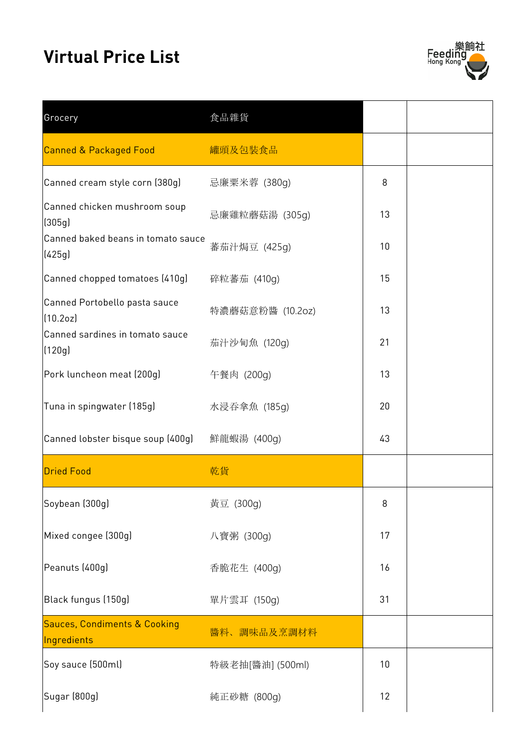## **Virtual Price List**



| Grocery                                                | 食品雜貨             |    |  |
|--------------------------------------------------------|------------------|----|--|
| <b>Canned &amp; Packaged Food</b>                      | 罐頭及包裝食品          |    |  |
| Canned cream style corn (380g)                         | 忌廉粟米蓉 (380g)     | 8  |  |
| Canned chicken mushroom soup<br>(305g)                 | 忌廉雞粒蘑菇湯 (305g)   | 13 |  |
| Canned baked beans in tomato sauce<br>(425g)           | 蕃茄汁焗豆 (425g)     | 10 |  |
| Canned chopped tomatoes (410g)                         | 碎粒蕃茄 (410g)      | 15 |  |
| Canned Portobello pasta sauce<br>(10.2oz)              | 特濃蘑菇意粉醬 (10.2oz) | 13 |  |
| Canned sardines in tomato sauce<br>(120g)              | 茄汁沙甸魚 (120g)     | 21 |  |
| Pork luncheon meat (200g)                              | 午餐肉 (200g)       | 13 |  |
| Tuna in spingwater (185g)                              | 水浸吞拿魚 (185g)     | 20 |  |
| Canned lobster bisque soup (400g)                      | 鮮龍蝦湯 (400g)      | 43 |  |
| <b>Dried Food</b>                                      | 乾貨               |    |  |
| Soybean (300g)                                         | 黄豆 (300g)        | 8  |  |
| Mixed congee (300g)                                    | 八寶粥 (300g)       | 17 |  |
| Peanuts (400g)                                         | 香脆花生 (400g)      | 16 |  |
| Black fungus (150g)                                    | 單片雲耳 (150g)      | 31 |  |
| <b>Sauces, Condiments &amp; Cooking</b><br>Ingredients | 醬料、調味品及烹調材料      |    |  |
| Soy sauce (500ml)                                      | 特級老抽[醬油] (500ml) | 10 |  |
| Sugar (800g)                                           | 純正砂糖 (800g)      | 12 |  |